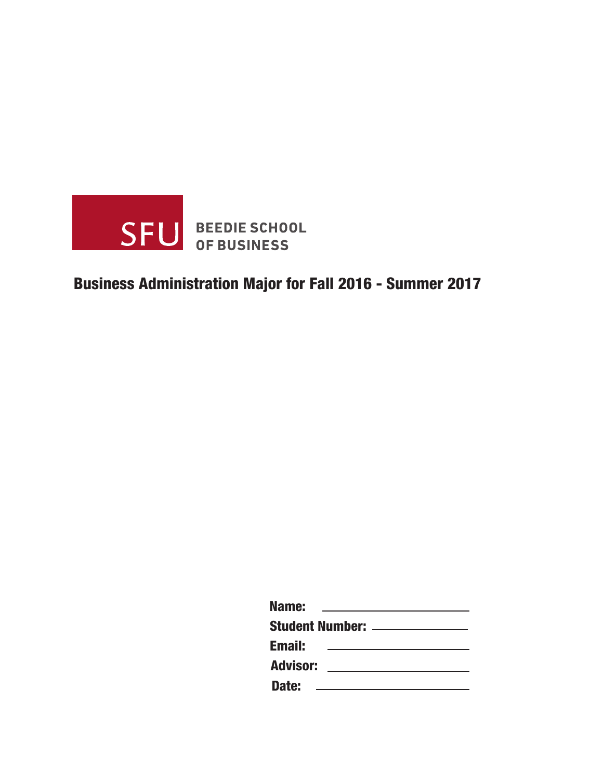

# Business Administration Major for Fall 2016 - Summer 2017

| Name:           |                               |
|-----------------|-------------------------------|
|                 | <b>Student Number: ______</b> |
| <b>Email:</b>   |                               |
| <b>Advisor:</b> |                               |
|                 |                               |

Date: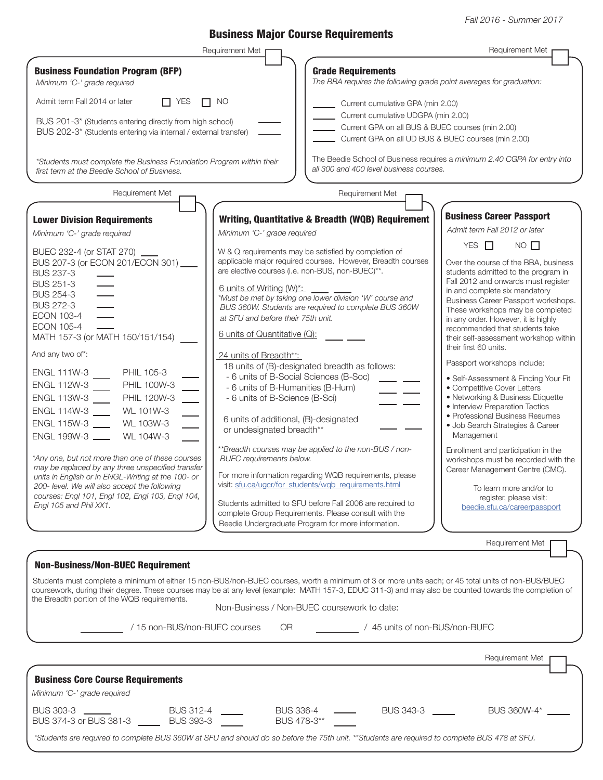Fall 2016 - Summer 2017

## Business Major Course Requirements

|                                                                                                                                                                                                                                                                                                                                                                                                                                                                                                                                                                                                                                                                                                                                                                                                                                                                                          | Requirement Met                                                                                                                                                                                                                                                                                                                                      | <b>Requirement Met</b>                                                                                                                                                                                                                                                                                                                                                                                                                                                                                                                                                                                                                                                                                                                                      |                                                                                                                                                                                                                                                                                                                                                                                                                                                                                                                                                                                                                                                                                                                                                                                                                                                                   |  |
|------------------------------------------------------------------------------------------------------------------------------------------------------------------------------------------------------------------------------------------------------------------------------------------------------------------------------------------------------------------------------------------------------------------------------------------------------------------------------------------------------------------------------------------------------------------------------------------------------------------------------------------------------------------------------------------------------------------------------------------------------------------------------------------------------------------------------------------------------------------------------------------|------------------------------------------------------------------------------------------------------------------------------------------------------------------------------------------------------------------------------------------------------------------------------------------------------------------------------------------------------|-------------------------------------------------------------------------------------------------------------------------------------------------------------------------------------------------------------------------------------------------------------------------------------------------------------------------------------------------------------------------------------------------------------------------------------------------------------------------------------------------------------------------------------------------------------------------------------------------------------------------------------------------------------------------------------------------------------------------------------------------------------|-------------------------------------------------------------------------------------------------------------------------------------------------------------------------------------------------------------------------------------------------------------------------------------------------------------------------------------------------------------------------------------------------------------------------------------------------------------------------------------------------------------------------------------------------------------------------------------------------------------------------------------------------------------------------------------------------------------------------------------------------------------------------------------------------------------------------------------------------------------------|--|
| <b>Business Foundation Program (BFP)</b><br>Minimum 'C-' grade required                                                                                                                                                                                                                                                                                                                                                                                                                                                                                                                                                                                                                                                                                                                                                                                                                  |                                                                                                                                                                                                                                                                                                                                                      | <b>Grade Requirements</b><br>The BBA requires the following grade point averages for graduation:                                                                                                                                                                                                                                                                                                                                                                                                                                                                                                                                                                                                                                                            |                                                                                                                                                                                                                                                                                                                                                                                                                                                                                                                                                                                                                                                                                                                                                                                                                                                                   |  |
| Admit term Fall 2014 or later<br>$\Box$ YES<br>BUS 201-3* (Students entering directly from high school)<br>BUS 202-3* (Students entering via internal / external transfer)<br>*Students must complete the Business Foundation Program within their<br>first term at the Beedie School of Business.<br>Requirement Met<br><b>Lower Division Requirements</b><br>Minimum 'C-' grade required<br>BUEC 232-4 (or STAT 270) ___<br>BUS 207-3 (or ECON 201/ECON 301)<br><b>BUS 237-3</b><br><b>BUS 251-3</b><br><b>BUS 254-3</b><br><b>BUS 272-3</b><br><b>ECON 103-4</b><br><b>ECON 105-4</b><br>MATH 157-3 (or MATH 150/151/154)<br>And any two of*:<br>PHIL 105-3<br>ENGL 111W-3<br><b>PHIL 100W-3</b><br>ENGL 112W-3<br>ENGL 113W-3<br>PHIL 120W-3<br>ENGL 114W-3<br>WL 101W-3<br>ENGL 115W-3<br>WL 103W-3<br>ENGL 199W-3<br>WL 104W-3<br>*Any one, but not more than one of these courses | $\Box$ NO<br>Minimum 'C-' grade required<br>6 units of Writing (W)*:<br>at SFU and before their 75th unit.<br>6 units of Quantitative (Q):<br>24 units of Breadth**:<br>- 6 units of B-Humanities (B-Hum)<br>- 6 units of B-Science (B-Sci)<br>6 units of additional, (B)-designated<br>or undesignated breadth**<br><b>BUEC</b> requirements below. | Current cumulative GPA (min 2.00)<br>Current cumulative UDGPA (min 2.00)<br>Current GPA on all BUS & BUEC courses (min 2.00)<br>Current GPA on all UD BUS & BUEC courses (min 2.00)<br>all 300 and 400 level business courses.<br>Requirement Met<br>Writing, Quantitative & Breadth (WQB) Requirement<br>W & Q requirements may be satisfied by completion of<br>applicable major required courses. However, Breadth courses<br>are elective courses (i.e. non-BUS, non-BUEC)**.<br>*Must be met by taking one lower division 'W' course and<br>BUS 360W. Students are required to complete BUS 360W<br>18 units of (B)-designated breadth as follows:<br>- 6 units of B-Social Sciences (B-Soc)<br>**Breadth courses may be applied to the non-BUS / non- | The Beedie School of Business requires a minimum 2.40 CGPA for entry into<br><b>Business Career Passport</b><br>Admit term Fall 2012 or later<br>YES $\Box$<br>$NO$ $\Box$<br>Over the course of the BBA, business<br>students admitted to the program in<br>Fall 2012 and onwards must register<br>in and complete six mandatory<br>Business Career Passport workshops.<br>These workshops may be completed<br>in any order. However, it is highly<br>recommended that students take<br>their self-assessment workshop within<br>their first 60 units.<br>Passport workshops include:<br>• Self-Assessment & Finding Your Fit<br>• Competitive Cover Letters<br>• Networking & Business Etiquette<br>• Interview Preparation Tactics<br>• Professional Business Resumes<br>· Job Search Strategies & Career<br>Management<br>Enrollment and participation in the |  |
| may be replaced by any three unspecified transfer<br>units in English or in ENGL-Writing at the 100- or<br>200- level. We will also accept the following<br>courses: Engl 101, Engl 102, Engl 103, Engl 104,<br>Enal 105 and Phil XX1.                                                                                                                                                                                                                                                                                                                                                                                                                                                                                                                                                                                                                                                   |                                                                                                                                                                                                                                                                                                                                                      | For more information regarding WQB requirements, please<br>visit: sfu.ca/ugcr/for_students/wqb_requirements.html<br>Students admitted to SFU before Fall 2006 are required to<br>complete Group Requirements. Please consult with the<br>Beedie Undergraduate Program for more information.                                                                                                                                                                                                                                                                                                                                                                                                                                                                 | workshops must be recorded with the<br>Career Management Centre (CMC).<br>To learn more and/or to<br>register, please visit:<br>beedie.sfu.ca/careerpassport                                                                                                                                                                                                                                                                                                                                                                                                                                                                                                                                                                                                                                                                                                      |  |
|                                                                                                                                                                                                                                                                                                                                                                                                                                                                                                                                                                                                                                                                                                                                                                                                                                                                                          |                                                                                                                                                                                                                                                                                                                                                      |                                                                                                                                                                                                                                                                                                                                                                                                                                                                                                                                                                                                                                                                                                                                                             | Requirement Met                                                                                                                                                                                                                                                                                                                                                                                                                                                                                                                                                                                                                                                                                                                                                                                                                                                   |  |
| <b>Non-Business/Non-BUEC Requirement</b><br>Students must complete a minimum of either 15 non-BUS/non-BUEC courses, worth a minimum of 3 or more units each; or 45 total units of non-BUS/BUEC<br>coursework, during their degree. These courses may be at any level (example: MATH 157-3, EDUC 311-3) and may also be counted towards the completion of<br>the Breadth portion of the WQB requirements.<br>/ 15 non-BUS/non-BUEC courses                                                                                                                                                                                                                                                                                                                                                                                                                                                | OR                                                                                                                                                                                                                                                                                                                                                   | Non-Business / Non-BUEC coursework to date:<br>/ 45 units of non-BUS/non-BUEC                                                                                                                                                                                                                                                                                                                                                                                                                                                                                                                                                                                                                                                                               | Requirement Met                                                                                                                                                                                                                                                                                                                                                                                                                                                                                                                                                                                                                                                                                                                                                                                                                                                   |  |
| <b>Business Core Course Requirements</b><br>Minimum 'C-' grade required                                                                                                                                                                                                                                                                                                                                                                                                                                                                                                                                                                                                                                                                                                                                                                                                                  |                                                                                                                                                                                                                                                                                                                                                      |                                                                                                                                                                                                                                                                                                                                                                                                                                                                                                                                                                                                                                                                                                                                                             |                                                                                                                                                                                                                                                                                                                                                                                                                                                                                                                                                                                                                                                                                                                                                                                                                                                                   |  |
| BUS 303-3<br><b>BUS 312-4</b><br>BUS 374-3 or BUS 381-3                                                                                                                                                                                                                                                                                                                                                                                                                                                                                                                                                                                                                                                                                                                                                                                                                                  |                                                                                                                                                                                                                                                                                                                                                      | <b>BUS 336-4</b><br>BUS 343-3<br>BUS 478-3**                                                                                                                                                                                                                                                                                                                                                                                                                                                                                                                                                                                                                                                                                                                | BUS 360W-4*                                                                                                                                                                                                                                                                                                                                                                                                                                                                                                                                                                                                                                                                                                                                                                                                                                                       |  |
| *Students are required to complete BUS 360W at SFU and should do so before the 75th unit. **Students are required to complete BUS 478 at SFU.                                                                                                                                                                                                                                                                                                                                                                                                                                                                                                                                                                                                                                                                                                                                            |                                                                                                                                                                                                                                                                                                                                                      |                                                                                                                                                                                                                                                                                                                                                                                                                                                                                                                                                                                                                                                                                                                                                             |                                                                                                                                                                                                                                                                                                                                                                                                                                                                                                                                                                                                                                                                                                                                                                                                                                                                   |  |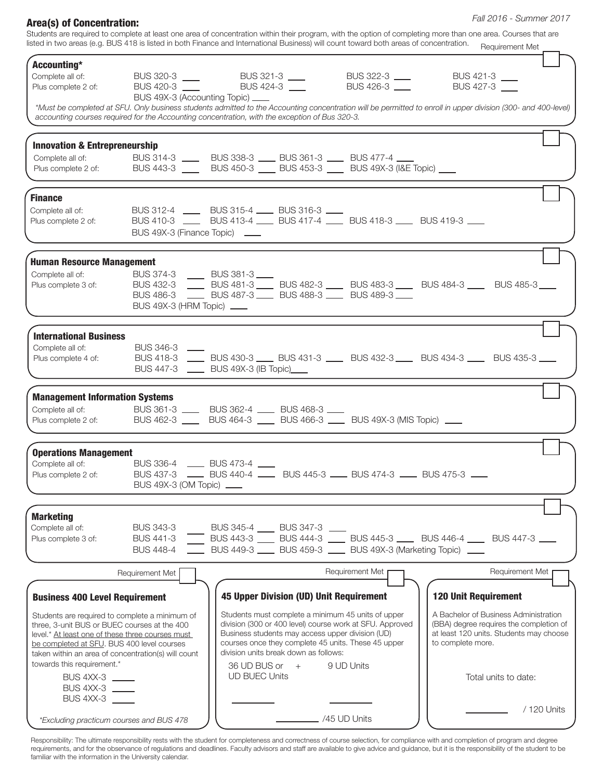| <b>Area(s) of Concentration:</b>                                                                 |                                                     |                                                                                                                                                                                                                                                                        |                                                          | Fall 2016 - Summer 2017<br>Students are required to complete at least one area of concentration within their program, with the option of completing more than one area. Courses that are |
|--------------------------------------------------------------------------------------------------|-----------------------------------------------------|------------------------------------------------------------------------------------------------------------------------------------------------------------------------------------------------------------------------------------------------------------------------|----------------------------------------------------------|------------------------------------------------------------------------------------------------------------------------------------------------------------------------------------------|
|                                                                                                  |                                                     | listed in two areas (e.g. BUS 418 is listed in both Finance and International Business) will count toward both areas of concentration.                                                                                                                                 |                                                          | Requirement Met                                                                                                                                                                          |
| Accounting*<br>Complete all of:                                                                  |                                                     |                                                                                                                                                                                                                                                                        |                                                          | BUS 421-3                                                                                                                                                                                |
| Plus complete 2 of:                                                                              |                                                     | BUS 320-3<br>BUS 420-3<br>BUS 424-3<br>BUS 420-3<br>BUS 420-3<br>BUS 420-3<br>BUS 420-3<br>BUS 420-3<br>BUS 420-3<br>BUS 420-3<br>BUS 420-3<br>BUS 420-3<br>BUS 420-3<br>BUS 420-3<br>BUS 420-3<br>BUS 420-4<br>BUS 420-4<br>BUS 420-4<br>BUS 420-4<br>BUS 420-4<br>BU | BUS 426-3                                                | BUS 427-3                                                                                                                                                                                |
|                                                                                                  | BUS 49X-3 (Accounting Topic) ___                    | accounting courses required for the Accounting concentration, with the exception of Bus 320-3.                                                                                                                                                                         |                                                          | *Must be completed at SFU. Only business students admitted to the Accounting concentration will be permitted to enroll in upper division (300- and 400-level)                            |
| <b>Innovation &amp; Entrepreneurship</b>                                                         |                                                     |                                                                                                                                                                                                                                                                        |                                                          |                                                                                                                                                                                          |
|                                                                                                  |                                                     | Complete all of:<br>Plus complete 2 of:<br>BUS 443-3 BUS 450-3 BUS 450-3 BUS 453-3 BUS 49X-3 (I&E Topic)                                                                                                                                                               |                                                          |                                                                                                                                                                                          |
|                                                                                                  |                                                     |                                                                                                                                                                                                                                                                        |                                                          |                                                                                                                                                                                          |
| <b>Finance</b>                                                                                   |                                                     |                                                                                                                                                                                                                                                                        |                                                          |                                                                                                                                                                                          |
| Complete all of:                                                                                 |                                                     | BUS 312-4 _____ BUS 315-4 ____ BUS 316-3 ___<br>BUS 410-3 BUS 413-4 BUS 417-4 BUS 418-3 BUS 419-3                                                                                                                                                                      |                                                          |                                                                                                                                                                                          |
| Plus complete 2 of:                                                                              | BUS 49X-3 (Finance Topic) ___                       |                                                                                                                                                                                                                                                                        |                                                          |                                                                                                                                                                                          |
|                                                                                                  |                                                     |                                                                                                                                                                                                                                                                        |                                                          |                                                                                                                                                                                          |
| <b>Human Resource Management</b><br>Complete all of:                                             | BUS 374-3 BUS 381-3                                 |                                                                                                                                                                                                                                                                        |                                                          |                                                                                                                                                                                          |
|                                                                                                  |                                                     |                                                                                                                                                                                                                                                                        |                                                          | Plus complete 3 of: BUS 432-3 BUS 481-3 BUS 482-3 BUS 483-3 BUS 484-3 BUS 485-3                                                                                                          |
|                                                                                                  |                                                     | BUS 486-3 _____ BUS 487-3 ____ BUS 488-3 ____ BUS 489-3 ____                                                                                                                                                                                                           |                                                          |                                                                                                                                                                                          |
|                                                                                                  | BUS 49X-3 (HRM Topic) ____                          |                                                                                                                                                                                                                                                                        |                                                          |                                                                                                                                                                                          |
| <b>International Business</b>                                                                    |                                                     |                                                                                                                                                                                                                                                                        |                                                          |                                                                                                                                                                                          |
| Complete all of:                                                                                 | <b>BUS 346-3</b>                                    |                                                                                                                                                                                                                                                                        |                                                          | BUS 418-3 <b>LE BUS 430-3 RUS 431-3</b> BUS 432-3 BUS 434-3 <b>RUS 435-3</b> LE BUS 435-3                                                                                                |
| Plus complete 4 of:                                                                              |                                                     | BUS 447-3 _____ BUS 49X-3 (IB Topic)____                                                                                                                                                                                                                               |                                                          |                                                                                                                                                                                          |
| <b>Management Information Systems</b>                                                            |                                                     |                                                                                                                                                                                                                                                                        |                                                          |                                                                                                                                                                                          |
| Complete all of:                                                                                 |                                                     | BUS 361-3 ____ BUS 362-4 ____ BUS 468-3 ___                                                                                                                                                                                                                            |                                                          |                                                                                                                                                                                          |
|                                                                                                  |                                                     | Plus complete 2 of: BUS 462-3 ____ BUS 464-3 ____ BUS 466-3 ____ BUS 49X-3 (MIS Topic) ____                                                                                                                                                                            |                                                          |                                                                                                                                                                                          |
|                                                                                                  |                                                     |                                                                                                                                                                                                                                                                        |                                                          |                                                                                                                                                                                          |
| <b>Operations Management</b><br>Complete all of:                                                 | BUS 336-4 _____ BUS 473-4 ____                      |                                                                                                                                                                                                                                                                        |                                                          |                                                                                                                                                                                          |
| Plus complete 2 of:                                                                              |                                                     | BUS 437-3 _____ BUS 440-4 _____ BUS 445-3 ____ BUS 474-3 ____ BUS 475-3 ____                                                                                                                                                                                           |                                                          |                                                                                                                                                                                          |
|                                                                                                  |                                                     | BUS 49X-3 (OM Topic) ____                                                                                                                                                                                                                                              |                                                          |                                                                                                                                                                                          |
| <b>Marketing</b>                                                                                 |                                                     |                                                                                                                                                                                                                                                                        |                                                          |                                                                                                                                                                                          |
| Complete all of:                                                                                 |                                                     |                                                                                                                                                                                                                                                                        |                                                          |                                                                                                                                                                                          |
| Plus complete 3 of:                                                                              |                                                     |                                                                                                                                                                                                                                                                        |                                                          | BUS 343-3 BUS 345-4 BUS 347-3 RDS 445-3 BUS 446-4 BUS 447-3 RDS 441-3 PUS 447-3                                                                                                          |
|                                                                                                  |                                                     | BUS 448-4<br>EUS 449-3<br>BUS 459-3<br>EUS 49X-3 (Marketing Topic)<br>__                                                                                                                                                                                               |                                                          |                                                                                                                                                                                          |
|                                                                                                  | Requirement Met                                     |                                                                                                                                                                                                                                                                        | Requirement Met                                          | Requirement Met                                                                                                                                                                          |
| <b>Business 400 Level Requirement</b>                                                            |                                                     | 45 Upper Division (UD) Unit Requirement                                                                                                                                                                                                                                |                                                          | <b>120 Unit Requirement</b>                                                                                                                                                              |
| Students are required to complete a minimum of                                                   |                                                     | Students must complete a minimum 45 units of upper                                                                                                                                                                                                                     |                                                          | A Bachelor of Business Administration                                                                                                                                                    |
| three, 3-unit BUS or BUEC courses at the 400<br>level.* At least one of these three courses must |                                                     | Business students may access upper division (UD)                                                                                                                                                                                                                       | division (300 or 400 level) course work at SFU. Approved | (BBA) degree requires the completion of<br>at least 120 units. Students may choose                                                                                                       |
| be completed at SFU. BUS 400 level courses                                                       |                                                     | courses once they complete 45 units. These 45 upper                                                                                                                                                                                                                    |                                                          | to complete more.                                                                                                                                                                        |
| towards this requirement.*                                                                       | taken within an area of concentration(s) will count | division units break down as follows:                                                                                                                                                                                                                                  |                                                          |                                                                                                                                                                                          |
| BUS 4XX-3                                                                                        |                                                     | $36$ UD BUS or $+$<br><b>UD BUEC Units</b>                                                                                                                                                                                                                             | 9 UD Units                                               | Total units to date:                                                                                                                                                                     |
| BUS 4XX-3                                                                                        |                                                     |                                                                                                                                                                                                                                                                        |                                                          |                                                                                                                                                                                          |

\*Excluding practicum courses and BUS 478

BUS 4XX-3

Responsibility: The ultimate responsibility rests with the student for completeness and correctness of course selection, for compliance with and completion of program and degree requirements, and for the observance of regulations and deadlines. Faculty advisors and staff are available to give advice and guidance, but it is the responsibility of the student to be familiar with the information in the University calendar.

/45 UD Units

l

/ 120 Units